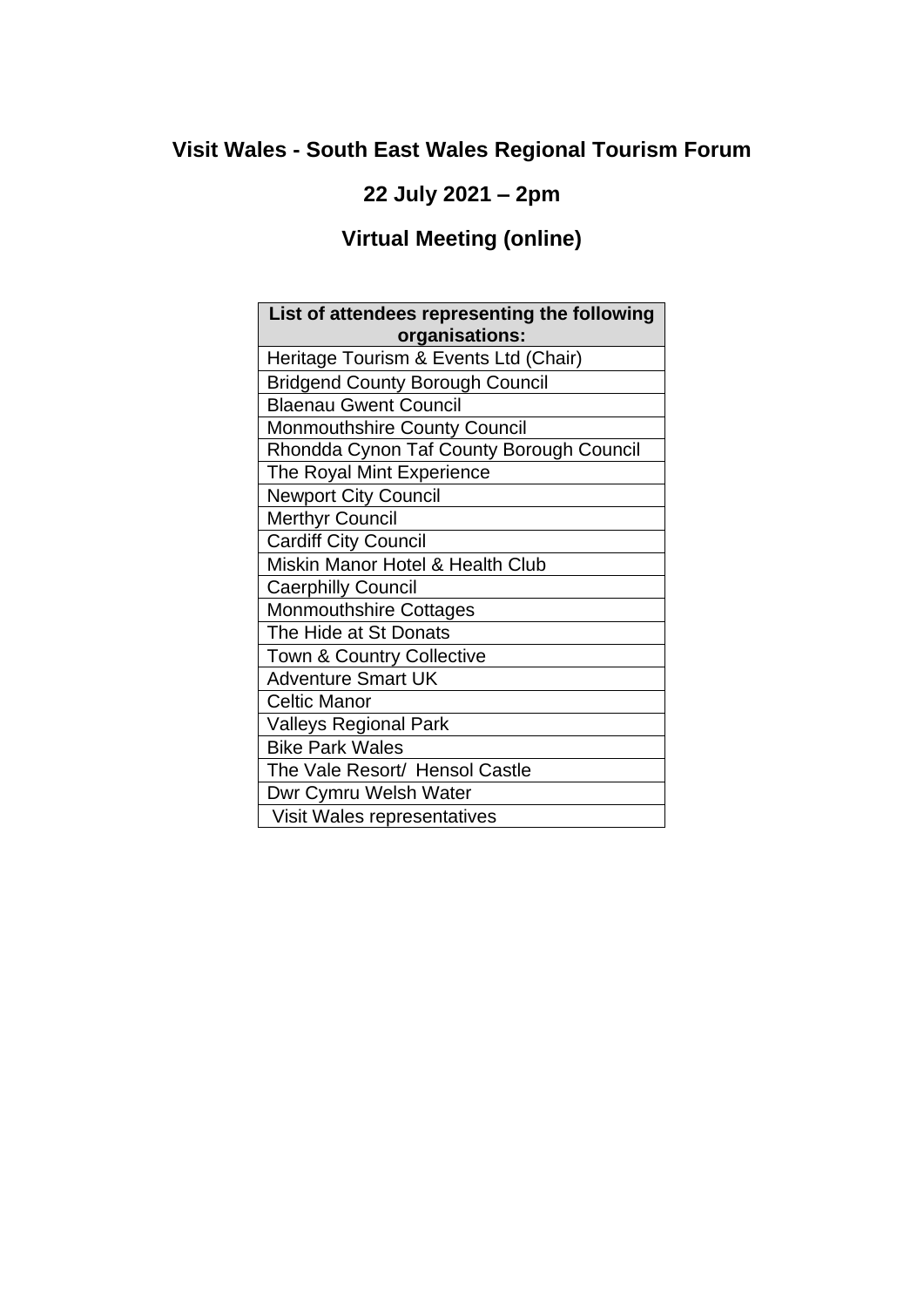# **Visit Wales - South East Wales Regional Tourism Forum**

## **22 July 2021 – 2pm**

# **Virtual Meeting (online)**

| List of attendees representing the following |
|----------------------------------------------|
| organisations:                               |
| Heritage Tourism & Events Ltd (Chair)        |
| <b>Bridgend County Borough Council</b>       |
| <b>Blaenau Gwent Council</b>                 |
| <b>Monmouthshire County Council</b>          |
| Rhondda Cynon Taf County Borough Council     |
| The Royal Mint Experience                    |
| <b>Newport City Council</b>                  |
| <b>Merthyr Council</b>                       |
| <b>Cardiff City Council</b>                  |
| Miskin Manor Hotel & Health Club             |
| <b>Caerphilly Council</b>                    |
| <b>Monmouthshire Cottages</b>                |
| The Hide at St Donats                        |
| Town & Country Collective                    |
| <b>Adventure Smart UK</b>                    |
| <b>Celtic Manor</b>                          |
| <b>Valleys Regional Park</b>                 |
| <b>Bike Park Wales</b>                       |
| The Vale Resort/ Hensol Castle               |
| Dwr Cymru Welsh Water                        |
| Visit Wales representatives                  |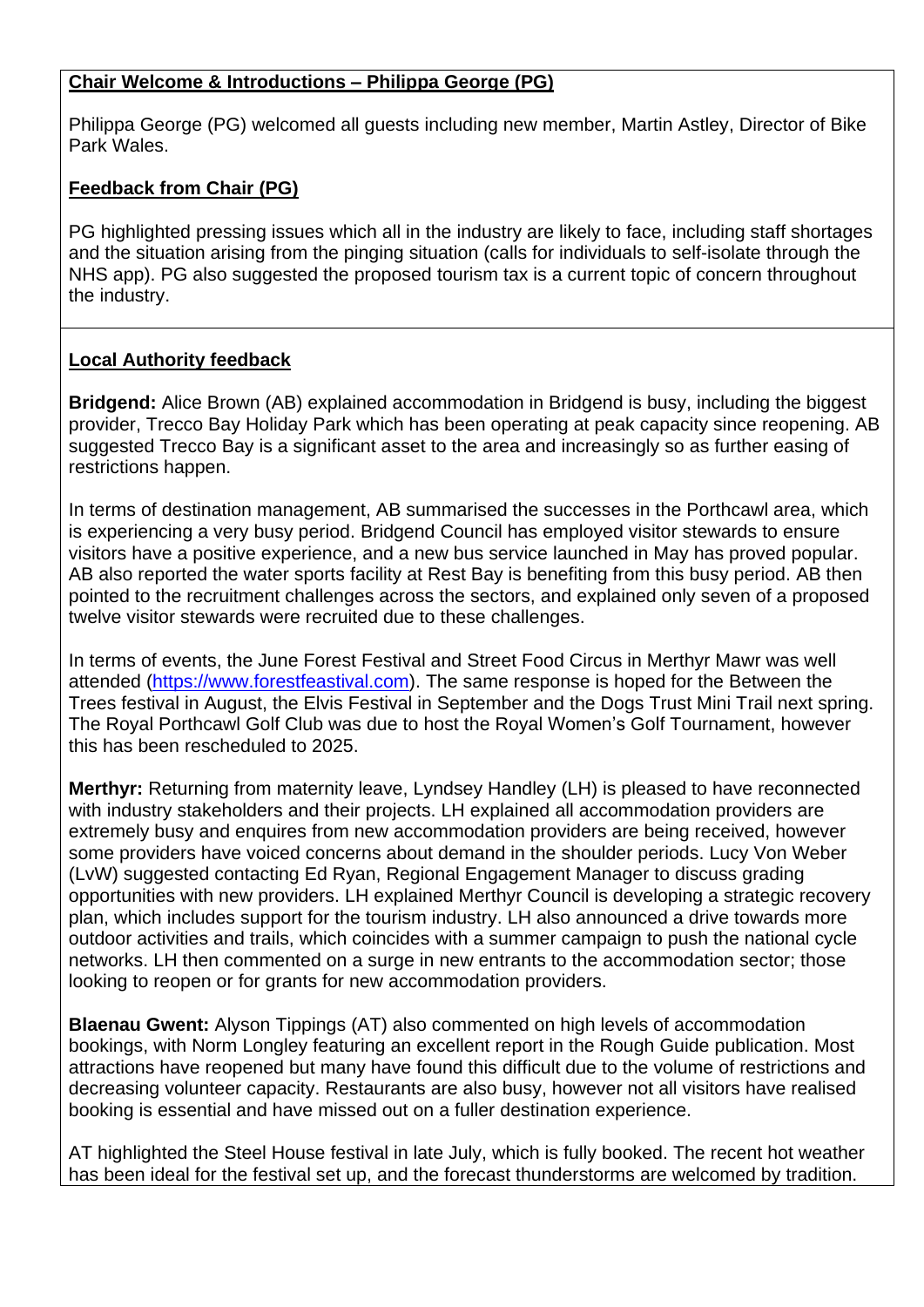#### **Chair Welcome & Introductions – Philippa George (PG)**

Philippa George (PG) welcomed all guests including new member, Martin Astley, Director of Bike Park Wales.

#### **Feedback from Chair (PG)**

PG highlighted pressing issues which all in the industry are likely to face, including staff shortages and the situation arising from the pinging situation (calls for individuals to self-isolate through the NHS app). PG also suggested the proposed tourism tax is a current topic of concern throughout the industry.

#### **Local Authority feedback**

**Bridgend:** Alice Brown (AB) explained accommodation in Bridgend is busy, including the biggest provider, Trecco Bay Holiday Park which has been operating at peak capacity since reopening. AB suggested Trecco Bay is a significant asset to the area and increasingly so as further easing of restrictions happen.

In terms of destination management, AB summarised the successes in the Porthcawl area, which is experiencing a very busy period. Bridgend Council has employed visitor stewards to ensure visitors have a positive experience, and a new bus service launched in May has proved popular. AB also reported the water sports facility at Rest Bay is benefiting from this busy period. AB then pointed to the recruitment challenges across the sectors, and explained only seven of a proposed twelve visitor stewards were recruited due to these challenges.

In terms of events, the June Forest Festival and Street Food Circus in Merthyr Mawr was well attended [\(https://www.forestfeastival.com\)](https://www.forestfeastival.com/). The same response is hoped for the Between the Trees festival in August, the Elvis Festival in September and the Dogs Trust Mini Trail next spring. The Royal Porthcawl Golf Club was due to host the Royal Women's Golf Tournament, however this has been rescheduled to 2025.

**Merthyr:** Returning from maternity leave, Lyndsey Handley (LH) is pleased to have reconnected with industry stakeholders and their projects. LH explained all accommodation providers are extremely busy and enquires from new accommodation providers are being received, however some providers have voiced concerns about demand in the shoulder periods. Lucy Von Weber (LvW) suggested contacting Ed Ryan, Regional Engagement Manager to discuss grading opportunities with new providers. LH explained Merthyr Council is developing a strategic recovery plan, which includes support for the tourism industry. LH also announced a drive towards more outdoor activities and trails, which coincides with a summer campaign to push the national cycle networks. LH then commented on a surge in new entrants to the accommodation sector: those looking to reopen or for grants for new accommodation providers.

**Blaenau Gwent:** Alyson Tippings (AT) also commented on high levels of accommodation bookings, with Norm Longley featuring an excellent report in the Rough Guide publication. Most attractions have reopened but many have found this difficult due to the volume of restrictions and decreasing volunteer capacity. Restaurants are also busy, however not all visitors have realised booking is essential and have missed out on a fuller destination experience.

AT highlighted the Steel House festival in late July, which is fully booked. The recent hot weather has been ideal for the festival set up, and the forecast thunderstorms are welcomed by tradition.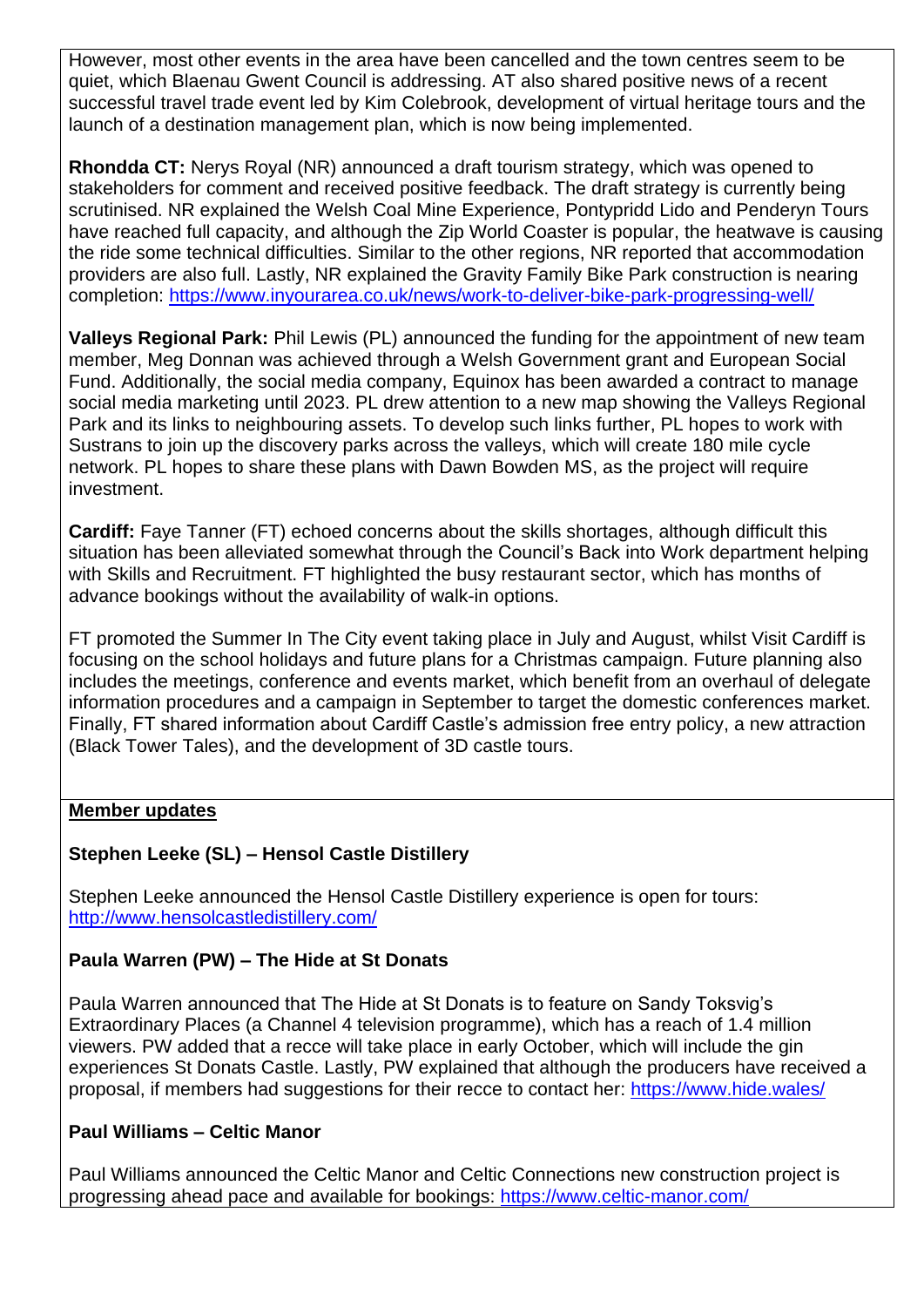However, most other events in the area have been cancelled and the town centres seem to be quiet, which Blaenau Gwent Council is addressing. AT also shared positive news of a recent successful travel trade event led by Kim Colebrook, development of virtual heritage tours and the launch of a destination management plan, which is now being implemented.

**Rhondda CT:** Nerys Royal (NR) announced a draft tourism strategy, which was opened to stakeholders for comment and received positive feedback. The draft strategy is currently being scrutinised. NR explained the Welsh Coal Mine Experience, Pontypridd Lido and Penderyn Tours have reached full capacity, and although the Zip World Coaster is popular, the heatwave is causing the ride some technical difficulties. Similar to the other regions, NR reported that accommodation providers are also full. Lastly, NR explained the Gravity Family Bike Park construction is nearing completion:<https://www.inyourarea.co.uk/news/work-to-deliver-bike-park-progressing-well/>

**Valleys Regional Park:** Phil Lewis (PL) announced the funding for the appointment of new team member, Meg Donnan was achieved through a Welsh Government grant and European Social Fund. Additionally, the social media company, Equinox has been awarded a contract to manage social media marketing until 2023. PL drew attention to a new map showing the Valleys Regional Park and its links to neighbouring assets. To develop such links further, PL hopes to work with Sustrans to join up the discovery parks across the valleys, which will create 180 mile cycle network. PL hopes to share these plans with Dawn Bowden MS, as the project will require investment.

**Cardiff:** Faye Tanner (FT) echoed concerns about the skills shortages, although difficult this situation has been alleviated somewhat through the Council's Back into Work department helping with Skills and Recruitment. FT highlighted the busy restaurant sector, which has months of advance bookings without the availability of walk-in options.

FT promoted the Summer In The City event taking place in July and August, whilst Visit Cardiff is focusing on the school holidays and future plans for a Christmas campaign. Future planning also includes the meetings, conference and events market, which benefit from an overhaul of delegate information procedures and a campaign in September to target the domestic conferences market. Finally, FT shared information about Cardiff Castle's admission free entry policy, a new attraction (Black Tower Tales), and the development of 3D castle tours.

#### **Member updates**

#### **Stephen Leeke (SL) – Hensol Castle Distillery**

Stephen Leeke announced the Hensol Castle Distillery experience is open for tours: <http://www.hensolcastledistillery.com/>

#### **Paula Warren (PW) – The Hide at St Donats**

Paula Warren announced that The Hide at St Donats is to feature on Sandy Toksvig's Extraordinary Places (a Channel 4 television programme), which has a reach of 1.4 million viewers. PW added that a recce will take place in early October, which will include the gin experiences St Donats Castle. Lastly, PW explained that although the producers have received a proposal, if members had suggestions for their recce to contact her:<https://www.hide.wales/>

#### **Paul Williams – Celtic Manor**

Paul Williams announced the Celtic Manor and Celtic Connections new construction project is progressing ahead pace and available for bookings:<https://www.celtic-manor.com/>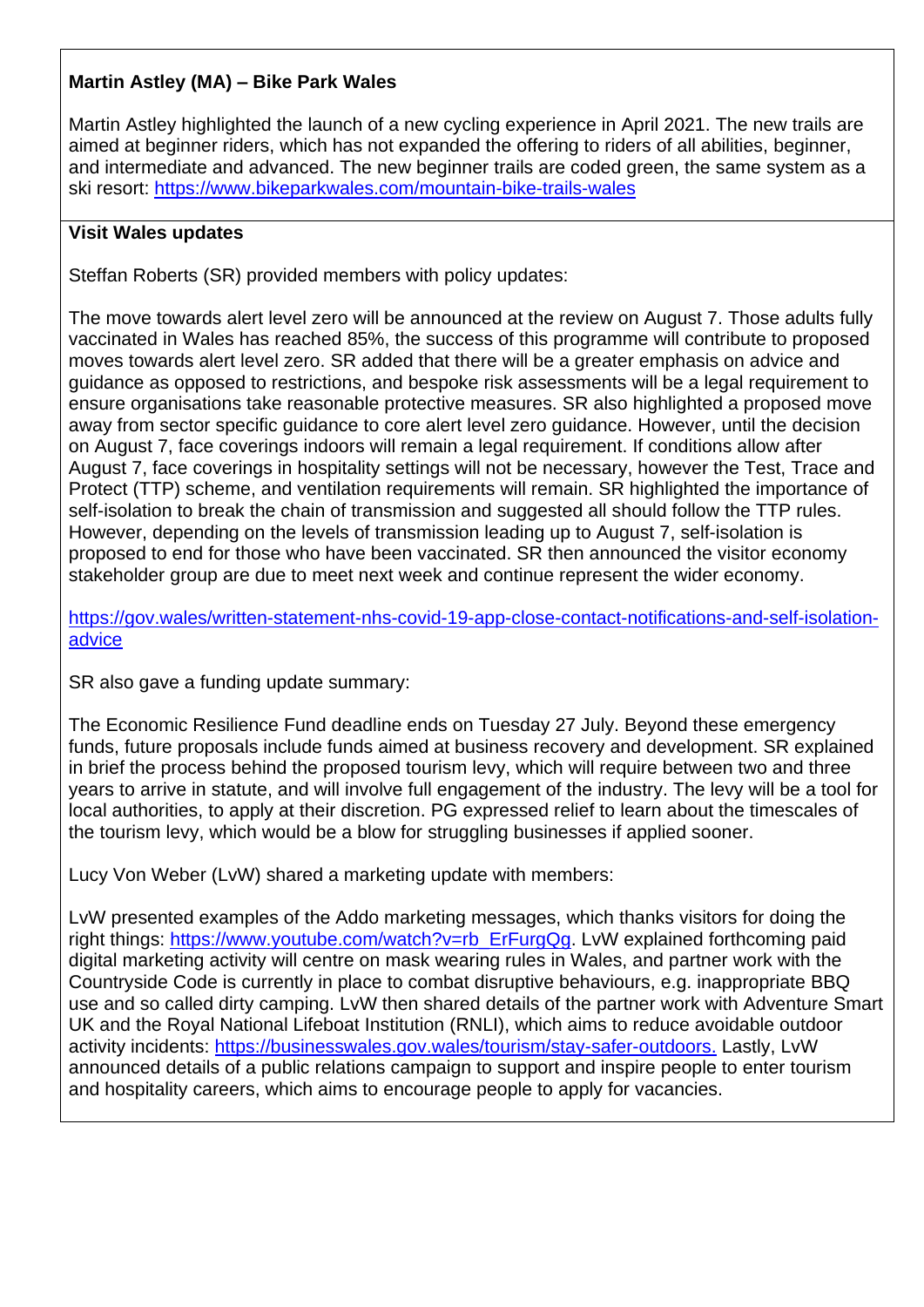### **Martin Astley (MA) – Bike Park Wales**

Martin Astley highlighted the launch of a new cycling experience in April 2021. The new trails are aimed at beginner riders, which has not expanded the offering to riders of all abilities, beginner, and intermediate and advanced. The new beginner trails are coded green, the same system as a ski resort:<https://www.bikeparkwales.com/mountain-bike-trails-wales>

#### **Visit Wales updates**

Steffan Roberts (SR) provided members with policy updates:

The move towards alert level zero will be announced at the review on August 7. Those adults fully vaccinated in Wales has reached 85%, the success of this programme will contribute to proposed moves towards alert level zero. SR added that there will be a greater emphasis on advice and guidance as opposed to restrictions, and bespoke risk assessments will be a legal requirement to ensure organisations take reasonable protective measures. SR also highlighted a proposed move away from sector specific guidance to core alert level zero guidance. However, until the decision on August 7, face coverings indoors will remain a legal requirement. If conditions allow after August 7, face coverings in hospitality settings will not be necessary, however the Test, Trace and Protect (TTP) scheme, and ventilation requirements will remain. SR highlighted the importance of self-isolation to break the chain of transmission and suggested all should follow the TTP rules. However, depending on the levels of transmission leading up to August 7, self-isolation is proposed to end for those who have been vaccinated. SR then announced the visitor economy stakeholder group are due to meet next week and continue represent the wider economy.

[https://gov.wales/written-statement-nhs-covid-19-app-close-contact-notifications-and-self-isolation](https://gov.wales/written-statement-nhs-covid-19-app-close-contact-notifications-and-self-isolation-advice)[advice](https://gov.wales/written-statement-nhs-covid-19-app-close-contact-notifications-and-self-isolation-advice)

SR also gave a funding update summary:

The Economic Resilience Fund deadline ends on Tuesday 27 July. Beyond these emergency funds, future proposals include funds aimed at business recovery and development. SR explained in brief the process behind the proposed tourism levy, which will require between two and three years to arrive in statute, and will involve full engagement of the industry. The levy will be a tool for local authorities, to apply at their discretion. PG expressed relief to learn about the timescales of the tourism levy, which would be a blow for struggling businesses if applied sooner.

Lucy Von Weber (LvW) shared a marketing update with members:

LvW presented examples of the Addo marketing messages, which thanks visitors for doing the right things: [https://www.youtube.com/watch?v=rb\\_ErFurgQg.](https://www.youtube.com/watch?v=rb_ErFurgQg) LvW explained forthcoming paid digital marketing activity will centre on mask wearing rules in Wales, and partner work with the Countryside Code is currently in place to combat disruptive behaviours, e.g. inappropriate BBQ use and so called dirty camping. LvW then shared details of the partner work with Adventure Smart UK and the Royal National Lifeboat Institution (RNLI), which aims to reduce avoidable outdoor activity incidents: [https://businesswales.gov.wales/tourism/stay-safer-outdoors.](https://businesswales.gov.wales/tourism/stay-safer-outdoors) Lastly, LvW announced details of a public relations campaign to support and inspire people to enter tourism and hospitality careers, which aims to encourage people to apply for vacancies.